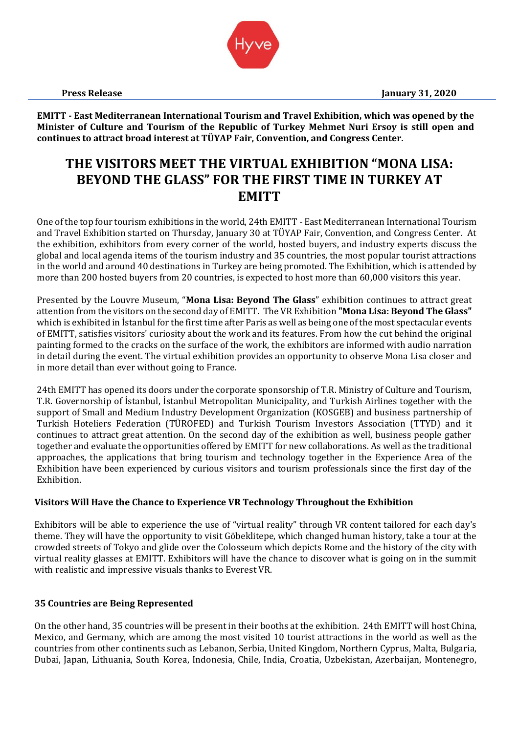**Press Release January 31, 2020**



**EMITT - East Mediterranean International Tourism and Travel Exhibition, which was opened by the Minister of Culture and Tourism of the Republic of Turkey Mehmet Nuri Ersoy is still open and continues to attract broad interest at TÜYAP Fair, Convention, and Congress Center.**

# **THE VISITORS MEET THE VIRTUAL EXHIBITION "MONA LISA: BEYOND THE GLASS" FOR THE FIRST TIME IN TURKEY AT EMITT**

One of the top four tourism exhibitions in the world, 24th EMITT - East Mediterranean International Tourism and Travel Exhibition started on Thursday, January 30 at TÜYAP Fair, Convention, and Congress Center. At the exhibition, exhibitors from every corner of the world, hosted buyers, and industry experts discuss the global and local agenda items of the tourism industry and 35 countries, the most popular tourist attractions in the world and around 40 destinations in Turkey are being promoted. The Exhibition, which is attended by more than 200 hosted buyers from 20 countries, is expected to host more than 60,000 visitors this year.

Presented by the Louvre Museum, "**Mona Lisa: Beyond The Glass**" exhibition continues to attract great attention from the visitors on the second day of EMITT. The VR Exhibition **"Mona Lisa: Beyond The Glass"** which is exhibited in İstanbul for the first time after Paris as well as being one of the most spectacular events of EMITT, satisfies visitors' curiosity about the work and its features. From how the cut behind the original painting formed to the cracks on the surface of the work, the exhibitors are informed with audio narration in detail during the event. The virtual exhibition provides an opportunity to observe Mona Lisa closer and in more detail than ever without going to France.

24th EMITT has opened its doors under the corporate sponsorship of T.R. Ministry of Culture and Tourism, T.R. Governorship of İstanbul, İstanbul Metropolitan Municipality, and Turkish Airlines together with the support of Small and Medium Industry Development Organization (KOSGEB) and business partnership of Turkish Hoteliers Federation (TÜROFED) and Turkish Tourism Investors Association (TTYD) and it continues to attract great attention. On the second day of the exhibition as well, business people gather together and evaluate the opportunities offered by EMITT for new collaborations. As well as the traditional approaches, the applications that bring tourism and technology together in the Experience Area of the Exhibition have been experienced by curious visitors and tourism professionals since the first day of the Exhibition.

## **Visitors Will Have the Chance to Experience VR Technology Throughout the Exhibition**

Exhibitors will be able to experience the use of "virtual reality" through VR content tailored for each day's theme. They will have the opportunity to visit Göbeklitepe, which changed human history, take a tour at the crowded streets of Tokyo and glide over the Colosseum which depicts Rome and the history of the city with virtual reality glasses at EMITT. Exhibitors will have the chance to discover what is going on in the summit with realistic and impressive visuals thanks to Everest VR.

## **35 Countries are Being Represented**

On the other hand, 35 countries will be present in their booths at the exhibition. 24th EMITT will host China, Mexico, and Germany, which are among the most visited 10 tourist attractions in the world as well as the countries from other continents such as Lebanon, Serbia, United Kingdom, Northern Cyprus, Malta, Bulgaria, Dubai, Japan, Lithuania, South Korea, Indonesia, Chile, India, Croatia, Uzbekistan, Azerbaijan, Montenegro,